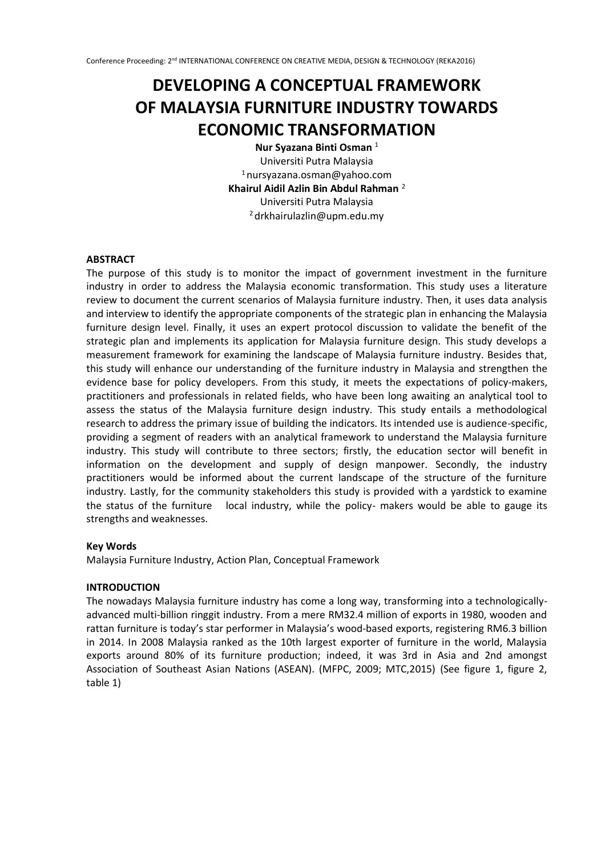# **DEVELOPING A CONCEPTUAL FRAMEWORK OF MALAYSIA FURNITURE INDUSTRY TOWARDS ECONOMIC TRANSFORMATION**

**Nur Syazana Binti Osman** <sup>1</sup> Universiti Putra Malaysia  $1$ nursyazana.osman@yahoo.com **Khairul Aidil Azlin Bin Abdul Rahman** <sup>2</sup> Universiti Putra Malaysia <sup>2</sup>drkhairulazlin@upm.edu.my

# **ABSTRACT**

The purpose of this study is to monitor the impact of government investment in the furniture industry in order to address the Malaysia economic transformation. This study uses a literature review to document the current scenarios of Malaysia furniture industry. Then, it uses data analysis and interview to identify the appropriate components of the strategic plan in enhancing the Malaysia furniture design level. Finally, it uses an expert protocol discussion to validate the benefit of the strategic plan and implements its application for Malaysia furniture design. This study develops a measurement framework for examining the landscape of Malaysia furniture industry. Besides that, this study will enhance our understanding of the furniture industry in Malaysia and strengthen the evidence base for policy developers. From this study, it meets the expectations of policy-makers, practitioners and professionals in related fields, who have been long awaiting an analytical tool to assess the status of the Malaysia furniture design industry. This study entails a methodological research to address the primary issue of building the indicators. Its intended use is audience-specific, providing a segment of readers with an analytical framework to understand the Malaysia furniture industry. This study will contribute to three sectors; firstly, the education sector will benefit in information on the development and supply of design manpower. Secondly, the industry practitioners would be informed about the current landscape of the structure of the furniture industry. Lastly, for the community stakeholders this study is provided with a yardstick to examine the status of the furniture local industry, while the policy- makers would be able to gauge its strengths and weaknesses.

# **Key Words**

Malaysia Furniture Industry, Action Plan, Conceptual Framework

# **INTRODUCTION**

The nowadays Malaysia furniture industry has come a long way, transforming into a technologicallyadvanced multi-billion ringgit industry. From a mere RM32.4 million of exports in 1980, wooden and rattan furniture is today's star performer in Malaysia's wood-based exports, registering RM6.3 billion in 2014. In 2008 Malaysia ranked as the 10th largest exporter of furniture in the world, Malaysia exports around 80% of its furniture production; indeed, it was 3rd in Asia and 2nd amongst Association of Southeast Asian Nations (ASEAN). (MFPC, 2009; MTC,2015) (See figure 1, figure 2, table 1)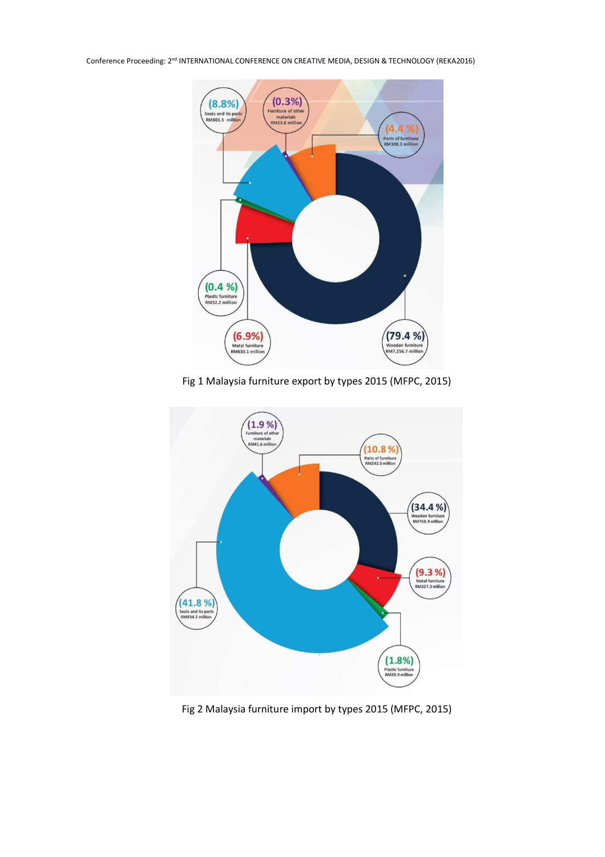

Fig 1 Malaysia furniture export by types 2015 (MFPC, 2015)



Fig 2 Malaysia furniture import by types 2015 (MFPC, 2015)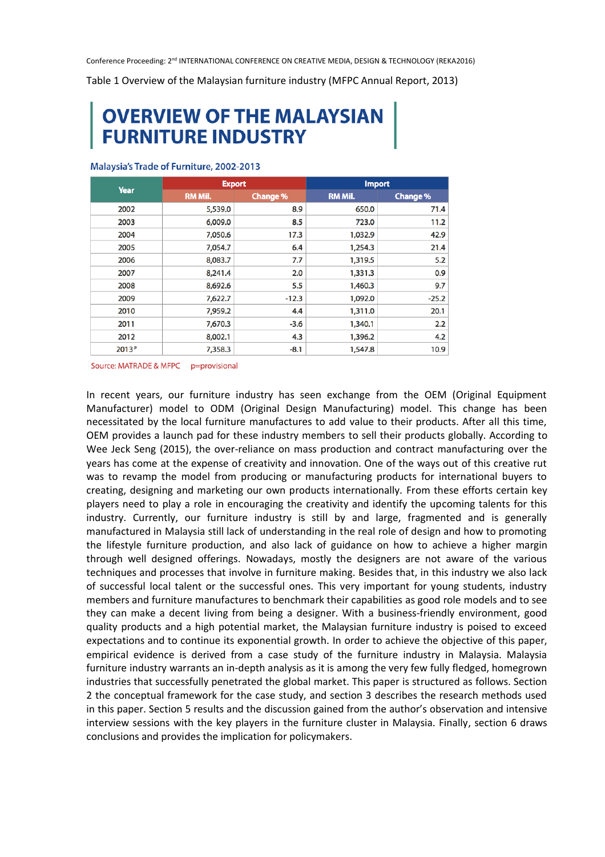Table 1 Overview of the Malaysian furniture industry (MFPC Annual Report, 2013)

# **OVERVIEW OF THE MALAYSIAN<br>FURNITURE INDUSTRY**

| Year              | <b>Export</b> |                 | <b>Import</b> |                 |
|-------------------|---------------|-----------------|---------------|-----------------|
|                   | RM Mil.       | <b>Change %</b> | RM Mil.       | <b>Change %</b> |
| 2002              | 5,539.0       | 8.9             | 650.0         | 71.4            |
| 2003              | 6,009.0       | 8.5             | 723.0         | 11.2            |
| 2004              | 7,050.6       | 17.3            | 1,032.9       | 42.9            |
| 2005              | 7,054.7       | 6.4             | 1,254.3       | 21.4            |
| 2006              | 8,083.7       | 7.7             | 1,319.5       | 5.2             |
| 2007              | 8,241.4       | 2.0             | 1,331.3       | 0.9             |
| 2008              | 8,692.6       | 5.5             | 1,460.3       | 9.7             |
| 2009              | 7,622.7       | $-12.3$         | 1,092.0       | $-25.2$         |
| 2010              | 7,959.2       | 4.4             | 1,311.0       | 20.1            |
| 2011              | 7,670.3       | $-3.6$          | 1,340.1       | 2.2             |
| 2012              | 8,002.1       | 4.3             | 1,396.2       | 4.2             |
| 2013 <sup>P</sup> | 7,358.3       | $-8.1$          | 1,547.8       | 10.9            |

#### Malaysia's Trade of Furniture, 2002-2013

Source: MATRADE & MFPC p=provisional

In recent years, our furniture industry has seen exchange from the OEM (Original Equipment Manufacturer) model to ODM (Original Design Manufacturing) model. This change has been necessitated by the local furniture manufactures to add value to their products. After all this time, OEM provides a launch pad for these industry members to sell their products globally. According to Wee Jeck Seng (2015), the over-reliance on mass production and contract manufacturing over the years has come at the expense of creativity and innovation. One of the ways out of this creative rut was to revamp the model from producing or manufacturing products for international buyers to creating, designing and marketing our own products internationally. From these efforts certain key players need to play a role in encouraging the creativity and identify the upcoming talents for this industry. Currently, our furniture industry is still by and large, fragmented and is generally manufactured in Malaysia still lack of understanding in the real role of design and how to promoting the lifestyle furniture production, and also lack of guidance on how to achieve a higher margin through well designed offerings. Nowadays, mostly the designers are not aware of the various techniques and processes that involve in furniture making. Besides that, in this industry we also lack of successful local talent or the successful ones. This very important for young students, industry members and furniture manufactures to benchmark their capabilities as good role models and to see they can make a decent living from being a designer. With a business-friendly environment, good quality products and a high potential market, the Malaysian furniture industry is poised to exceed expectations and to continue its exponential growth. In order to achieve the objective of this paper, empirical evidence is derived from a case study of the furniture industry in Malaysia. Malaysia furniture industry warrants an in-depth analysis as it is among the very few fully fledged, homegrown industries that successfully penetrated the global market. This paper is structured as follows. Section 2 the conceptual framework for the case study, and section 3 describes the research methods used in this paper. Section 5 results and the discussion gained from the author's observation and intensive interview sessions with the key players in the furniture cluster in Malaysia. Finally, section 6 draws conclusions and provides the implication for policymakers.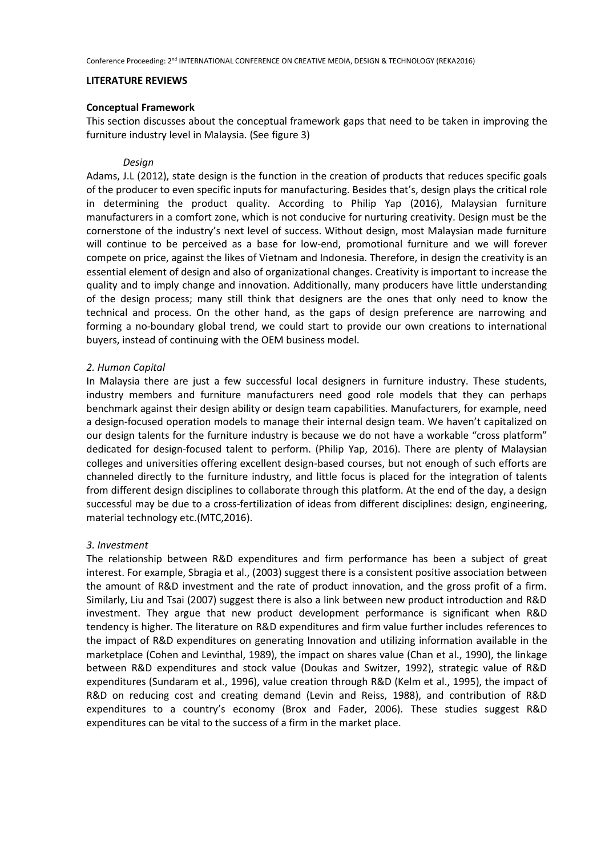#### **LITERATURE REVIEWS**

#### **Conceptual Framework**

This section discusses about the conceptual framework gaps that need to be taken in improving the furniture industry level in Malaysia. (See figure 3)

#### *Design*

Adams, J.L (2012), state design is the function in the creation of products that reduces specific goals of the producer to even specific inputs for manufacturing. Besides that's, design plays the critical role in determining the product quality. According to Philip Yap (2016), Malaysian furniture manufacturers in a comfort zone, which is not conducive for nurturing creativity. Design must be the cornerstone of the industry's next level of success. Without design, most Malaysian made furniture will continue to be perceived as a base for low-end, promotional furniture and we will forever compete on price, against the likes of Vietnam and Indonesia. Therefore, in design the creativity is an essential element of design and also of organizational changes. Creativity is important to increase the quality and to imply change and innovation. Additionally, many producers have little understanding of the design process; many still think that designers are the ones that only need to know the technical and process. On the other hand, as the gaps of design preference are narrowing and forming a no-boundary global trend, we could start to provide our own creations to international buyers, instead of continuing with the OEM business model.

#### *2. Human Capital*

In Malaysia there are just a few successful local designers in furniture industry. These students, industry members and furniture manufacturers need good role models that they can perhaps benchmark against their design ability or design team capabilities. Manufacturers, for example, need a design-focused operation models to manage their internal design team. We haven't capitalized on our design talents for the furniture industry is because we do not have a workable "cross platform" dedicated for design-focused talent to perform. (Philip Yap, 2016). There are plenty of Malaysian colleges and universities offering excellent design-based courses, but not enough of such efforts are channeled directly to the furniture industry, and little focus is placed for the integration of talents from different design disciplines to collaborate through this platform. At the end of the day, a design successful may be due to a cross-fertilization of ideas from different disciplines: design, engineering, material technology etc.(MTC,2016).

# *3. Investment*

The relationship between R&D expenditures and firm performance has been a subject of great interest. For example, Sbragia et al., (2003) suggest there is a consistent positive association between the amount of R&D investment and the rate of product innovation, and the gross profit of a firm. Similarly, Liu and Tsai (2007) suggest there is also a link between new product introduction and R&D investment. They argue that new product development performance is significant when R&D tendency is higher. The literature on R&D expenditures and firm value further includes references to the impact of R&D expenditures on generating Innovation and utilizing information available in the marketplace (Cohen and Levinthal, 1989), the impact on shares value (Chan et al., 1990), the linkage between R&D expenditures and stock value (Doukas and Switzer, 1992), strategic value of R&D expenditures (Sundaram et al., 1996), value creation through R&D (Kelm et al., 1995), the impact of R&D on reducing cost and creating demand (Levin and Reiss, 1988), and contribution of R&D expenditures to a country's economy (Brox and Fader, 2006). These studies suggest R&D expenditures can be vital to the success of a firm in the market place.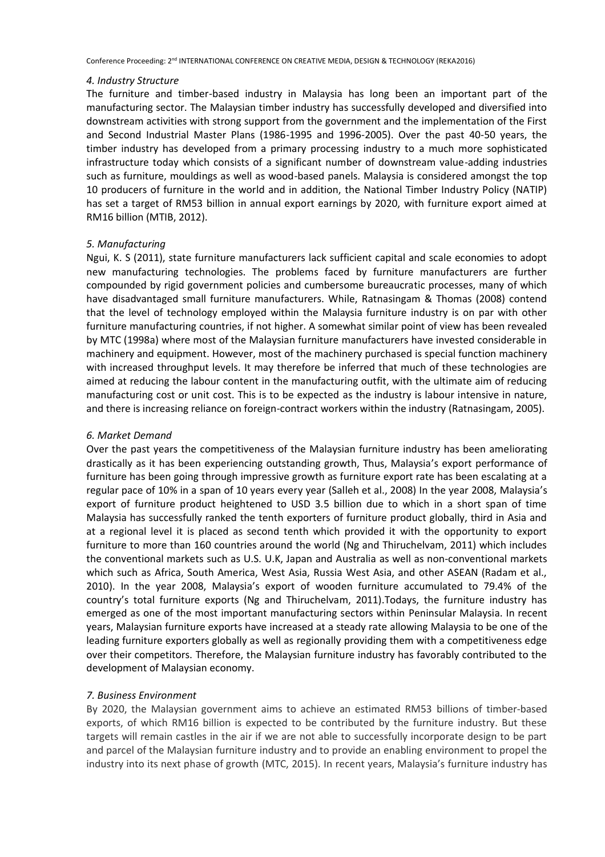#### *4. Industry Structure*

The furniture and timber-based industry in Malaysia has long been an important part of the manufacturing sector. The Malaysian timber industry has successfully developed and diversified into downstream activities with strong support from the government and the implementation of the First and Second Industrial Master Plans (1986-1995 and 1996-2005). Over the past 40-50 years, the timber industry has developed from a primary processing industry to a much more sophisticated infrastructure today which consists of a significant number of downstream value-adding industries such as furniture, mouldings as well as wood-based panels. Malaysia is considered amongst the top 10 producers of furniture in the world and in addition, the National Timber Industry Policy (NATIP) has set a target of RM53 billion in annual export earnings by 2020, with furniture export aimed at RM16 billion (MTIB, 2012).

#### *5. Manufacturing*

Ngui, K. S (2011), state furniture manufacturers lack sufficient capital and scale economies to adopt new manufacturing technologies. The problems faced by furniture manufacturers are further compounded by rigid government policies and cumbersome bureaucratic processes, many of which have disadvantaged small furniture manufacturers. While, Ratnasingam & Thomas (2008) contend that the level of technology employed within the Malaysia furniture industry is on par with other furniture manufacturing countries, if not higher. A somewhat similar point of view has been revealed by MTC (1998a) where most of the Malaysian furniture manufacturers have invested considerable in machinery and equipment. However, most of the machinery purchased is special function machinery with increased throughput levels. It may therefore be inferred that much of these technologies are aimed at reducing the labour content in the manufacturing outfit, with the ultimate aim of reducing manufacturing cost or unit cost. This is to be expected as the industry is labour intensive in nature, and there is increasing reliance on foreign-contract workers within the industry (Ratnasingam, 2005).

# *6. Market Demand*

Over the past years the competitiveness of the Malaysian furniture industry has been ameliorating drastically as it has been experiencing outstanding growth, Thus, Malaysia's export performance of furniture has been going through impressive growth as furniture export rate has been escalating at a regular pace of 10% in a span of 10 years every year (Salleh et al., 2008) In the year 2008, Malaysia's export of furniture product heightened to USD 3.5 billion due to which in a short span of time Malaysia has successfully ranked the tenth exporters of furniture product globally, third in Asia and at a regional level it is placed as second tenth which provided it with the opportunity to export furniture to more than 160 countries around the world (Ng and Thiruchelvam, 2011) which includes the conventional markets such as U.S. U.K, Japan and Australia as well as non-conventional markets which such as Africa, South America, West Asia, Russia West Asia, and other ASEAN (Radam et al., 2010). In the year 2008, Malaysia's export of wooden furniture accumulated to 79.4% of the country's total furniture exports (Ng and Thiruchelvam, 2011).Todays, the furniture industry has emerged as one of the most important manufacturing sectors within Peninsular Malaysia. In recent years, Malaysian furniture exports have increased at a steady rate allowing Malaysia to be one of the leading furniture exporters globally as well as regionally providing them with a competitiveness edge over their competitors. Therefore, the Malaysian furniture industry has favorably contributed to the development of Malaysian economy.

# *7. Business Environment*

By 2020, the Malaysian government aims to achieve an estimated RM53 billions of timber-based exports, of which RM16 billion is expected to be contributed by the furniture industry. But these targets will remain castles in the air if we are not able to successfully incorporate design to be part and parcel of the Malaysian furniture industry and to provide an enabling environment to propel the industry into its next phase of growth (MTC, 2015). In recent years, Malaysia's furniture industry has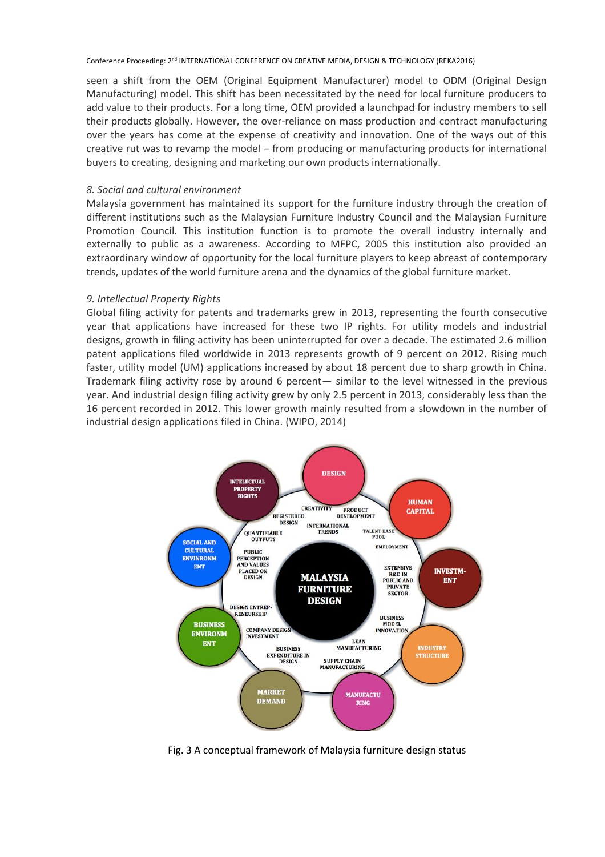seen a shift from the OEM (Original Equipment Manufacturer) model to ODM (Original Design Manufacturing) model. This shift has been necessitated by the need for local furniture producers to add value to their products. For a long time, OEM provided a launchpad for industry members to sell their products globally. However, the over-reliance on mass production and contract manufacturing over the years has come at the expense of creativity and innovation. One of the ways out of this creative rut was to revamp the model – from producing or manufacturing products for international buyers to creating, designing and marketing our own products internationally.

# *8. Social and cultural environment*

Malaysia government has maintained its support for the furniture industry through the creation of different institutions such as the Malaysian Furniture Industry Council and the Malaysian Furniture Promotion Council. This institution function is to promote the overall industry internally and externally to public as a awareness. According to MFPC, 2005 this institution also provided an extraordinary window of opportunity for the local furniture players to keep abreast of contemporary trends, updates of the world furniture arena and the dynamics of the global furniture market.

# *9. Intellectual Property Rights*

Global filing activity for patents and trademarks grew in 2013, representing the fourth consecutive year that applications have increased for these two IP rights. For utility models and industrial designs, growth in filing activity has been uninterrupted for over a decade. The estimated 2.6 million patent applications filed worldwide in 2013 represents growth of 9 percent on 2012. Rising much faster, utility model (UM) applications increased by about 18 percent due to sharp growth in China. Trademark filing activity rose by around 6 percent— similar to the level witnessed in the previous year. And industrial design filing activity grew by only 2.5 percent in 2013, considerably less than the 16 percent recorded in 2012. This lower growth mainly resulted from a slowdown in the number of industrial design applications filed in China. (WIPO, 2014)



Fig. 3 A conceptual framework of Malaysia furniture design status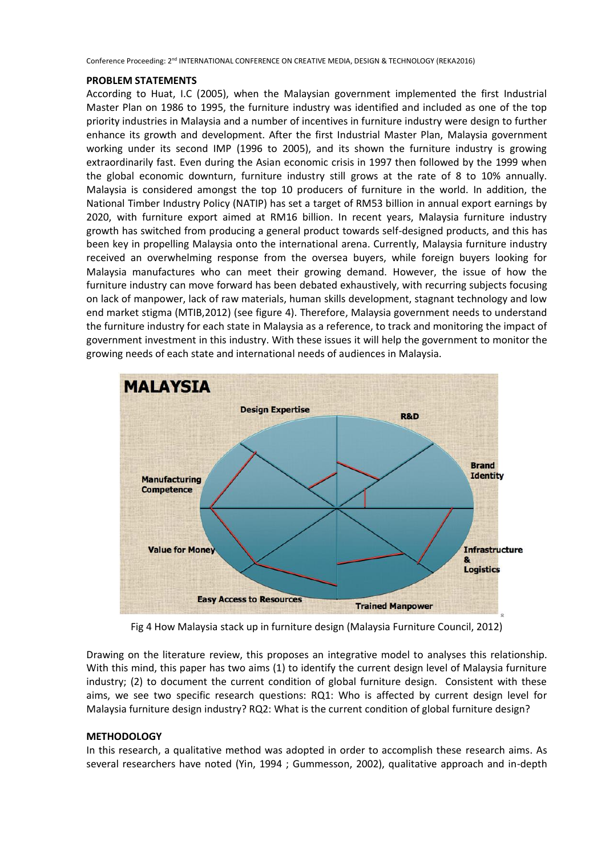#### **PROBLEM STATEMENTS**

According to Huat, I.C (2005), when the Malaysian government implemented the first Industrial Master Plan on 1986 to 1995, the furniture industry was identified and included as one of the top priority industries in Malaysia and a number of incentives in furniture industry were design to further enhance its growth and development. After the first Industrial Master Plan, Malaysia government working under its second IMP (1996 to 2005), and its shown the furniture industry is growing extraordinarily fast. Even during the Asian economic crisis in 1997 then followed by the 1999 when the global economic downturn, furniture industry still grows at the rate of 8 to 10% annually. Malaysia is considered amongst the top 10 producers of furniture in the world. In addition, the National Timber Industry Policy (NATIP) has set a target of RM53 billion in annual export earnings by 2020, with furniture export aimed at RM16 billion. In recent years, Malaysia furniture industry growth has switched from producing a general product towards self-designed products, and this has been key in propelling Malaysia onto the international arena. Currently, Malaysia furniture industry received an overwhelming response from the oversea buyers, while foreign buyers looking for Malaysia manufactures who can meet their growing demand. However, the issue of how the furniture industry can move forward has been debated exhaustively, with recurring subjects focusing on lack of manpower, lack of raw materials, human skills development, stagnant technology and low end market stigma (MTIB,2012) (see figure 4). Therefore, Malaysia government needs to understand the furniture industry for each state in Malaysia as a reference, to track and monitoring the impact of government investment in this industry. With these issues it will help the government to monitor the growing needs of each state and international needs of audiences in Malaysia.



Fig 4 How Malaysia stack up in furniture design (Malaysia Furniture Council, 2012)

Drawing on the literature review, this proposes an integrative model to analyses this relationship. With this mind, this paper has two aims (1) to identify the current design level of Malaysia furniture industry; (2) to document the current condition of global furniture design. Consistent with these aims, we see two specific research questions: RQ1: Who is affected by current design level for Malaysia furniture design industry? RQ2: What is the current condition of global furniture design?

# **METHODOLOGY**

In this research, a qualitative method was adopted in order to accomplish these research aims. As several researchers have noted (Yin, 1994 ; Gummesson, 2002), qualitative approach and in-depth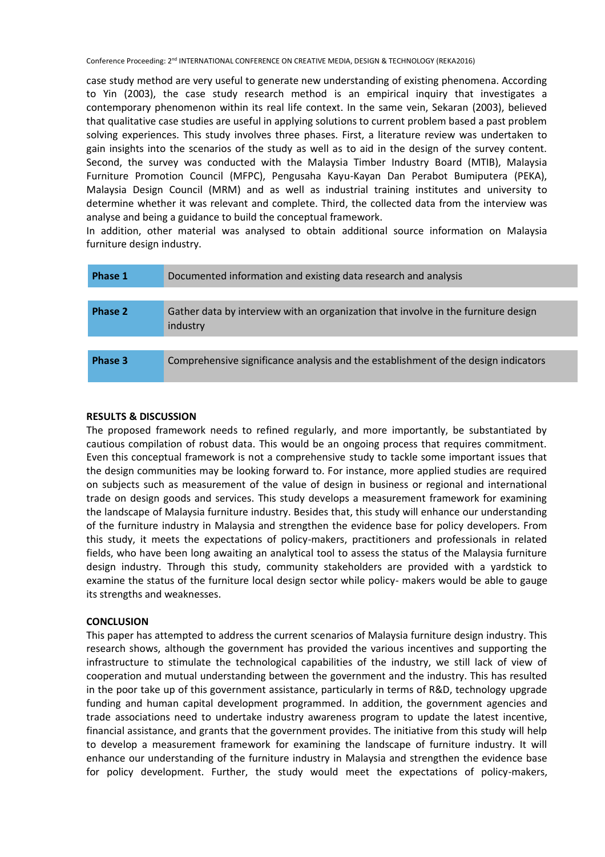case study method are very useful to generate new understanding of existing phenomena. According to Yin (2003), the case study research method is an empirical inquiry that investigates a contemporary phenomenon within its real life context. In the same vein, Sekaran (2003), believed that qualitative case studies are useful in applying solutions to current problem based a past problem solving experiences. This study involves three phases. First, a literature review was undertaken to gain insights into the scenarios of the study as well as to aid in the design of the survey content. Second, the survey was conducted with the Malaysia Timber Industry Board (MTIB), Malaysia Furniture Promotion Council (MFPC), Pengusaha Kayu-Kayan Dan Perabot Bumiputera (PEKA), Malaysia Design Council (MRM) and as well as industrial training institutes and university to determine whether it was relevant and complete. Third, the collected data from the interview was analyse and being a guidance to build the conceptual framework.

In addition, other material was analysed to obtain additional source information on Malaysia furniture design industry.

| Phase 1 | Documented information and existing data research and analysis                                 |
|---------|------------------------------------------------------------------------------------------------|
|         |                                                                                                |
| Phase 2 | Gather data by interview with an organization that involve in the furniture design<br>industry |
|         |                                                                                                |
| Phase 3 | Comprehensive significance analysis and the establishment of the design indicators             |

# **RESULTS & DISCUSSION**

The proposed framework needs to refined regularly, and more importantly, be substantiated by cautious compilation of robust data. This would be an ongoing process that requires commitment. Even this conceptual framework is not a comprehensive study to tackle some important issues that the design communities may be looking forward to. For instance, more applied studies are required on subjects such as measurement of the value of design in business or regional and international trade on design goods and services. This study develops a measurement framework for examining the landscape of Malaysia furniture industry. Besides that, this study will enhance our understanding of the furniture industry in Malaysia and strengthen the evidence base for policy developers. From this study, it meets the expectations of policy-makers, practitioners and professionals in related fields, who have been long awaiting an analytical tool to assess the status of the Malaysia furniture design industry. Through this study, community stakeholders are provided with a yardstick to examine the status of the furniture local design sector while policy- makers would be able to gauge its strengths and weaknesses.

# **CONCLUSION**

This paper has attempted to address the current scenarios of Malaysia furniture design industry. This research shows, although the government has provided the various incentives and supporting the infrastructure to stimulate the technological capabilities of the industry, we still lack of view of cooperation and mutual understanding between the government and the industry. This has resulted in the poor take up of this government assistance, particularly in terms of R&D, technology upgrade funding and human capital development programmed. In addition, the government agencies and trade associations need to undertake industry awareness program to update the latest incentive, financial assistance, and grants that the government provides. The initiative from this study will help to develop a measurement framework for examining the landscape of furniture industry. It will enhance our understanding of the furniture industry in Malaysia and strengthen the evidence base for policy development. Further, the study would meet the expectations of policy-makers,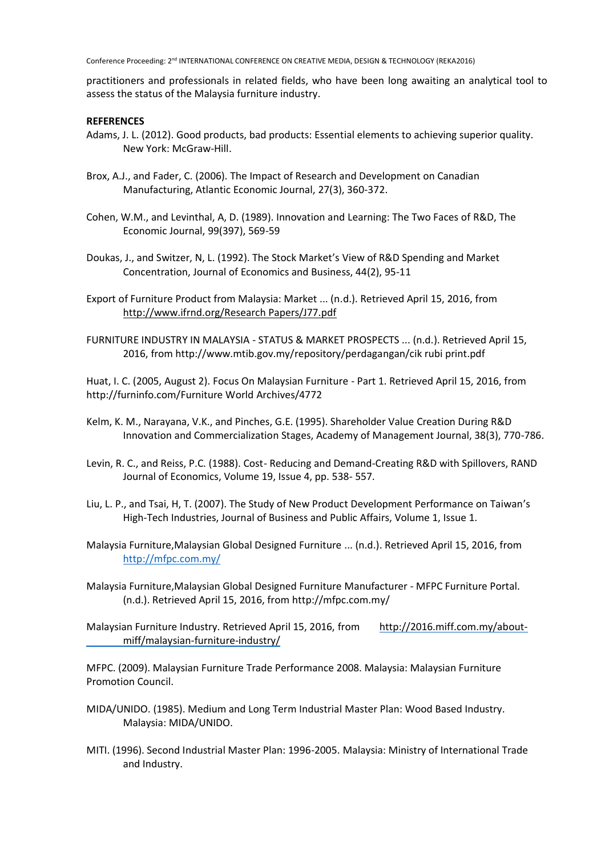practitioners and professionals in related fields, who have been long awaiting an analytical tool to assess the status of the Malaysia furniture industry.

# **REFERENCES**

- Adams, J. L. (2012). Good products, bad products: Essential elements to achieving superior quality. New York: McGraw-Hill.
- Brox, A.J., and Fader, C. (2006). The Impact of Research and Development on Canadian Manufacturing, Atlantic Economic Journal, 27(3), 360-372.
- Cohen, W.M., and Levinthal, A, D. (1989). Innovation and Learning: The Two Faces of R&D, The Economic Journal, 99(397), 569-59
- Doukas, J., and Switzer, N, L. (1992). The Stock Market's View of R&D Spending and Market Concentration, Journal of Economics and Business, 44(2), 95-11
- Export of Furniture Product from Malaysia: Market ... (n.d.). Retrieved April 15, 2016, from [http://www.ifrnd.org/Research Papers/J77.pdf](http://www.ifrnd.org/Research%20Papers/J77.pdf)
- FURNITURE INDUSTRY IN MALAYSIA STATUS & MARKET PROSPECTS ... (n.d.). Retrieved April 15, 2016, from http://www.mtib.gov.my/repository/perdagangan/cik rubi print.pdf

Huat, I. C. (2005, August 2). Focus On Malaysian Furniture - Part 1. Retrieved April 15, 2016, from http://furninfo.com/Furniture World Archives/4772

- Kelm, K. M., Narayana, V.K., and Pinches, G.E. (1995). Shareholder Value Creation During R&D Innovation and Commercialization Stages, Academy of Management Journal, 38(3), 770-786.
- Levin, R. C., and Reiss, P.C. (1988). Cost- Reducing and Demand-Creating R&D with Spillovers, RAND Journal of Economics, Volume 19, Issue 4, pp. 538- 557.
- Liu, L. P., and Tsai, H, T. (2007). The Study of New Product Development Performance on Taiwan's High-Tech Industries, Journal of Business and Public Affairs, Volume 1, Issue 1.
- Malaysia Furniture,Malaysian Global Designed Furniture ... (n.d.). Retrieved April 15, 2016, from <http://mfpc.com.my/>
- Malaysia Furniture,Malaysian Global Designed Furniture Manufacturer MFPC Furniture Portal. (n.d.). Retrieved April 15, 2016, from<http://mfpc.com.my/>
- Malaysian Furniture Industry. Retrieved April 15, 2016, from [http://2016.miff.com.my/about](http://2016.miff.com.my/about-%09miff/malaysian-furniture-industry/)[miff/malaysian-furniture-industry/](http://2016.miff.com.my/about-%09miff/malaysian-furniture-industry/)

MFPC. (2009). Malaysian Furniture Trade Performance 2008. Malaysia: Malaysian Furniture Promotion Council.

- MIDA/UNIDO. (1985). Medium and Long Term Industrial Master Plan: Wood Based Industry. Malaysia: MIDA/UNIDO.
- MITI. (1996). Second Industrial Master Plan: 1996-2005. Malaysia: Ministry of International Trade and Industry.